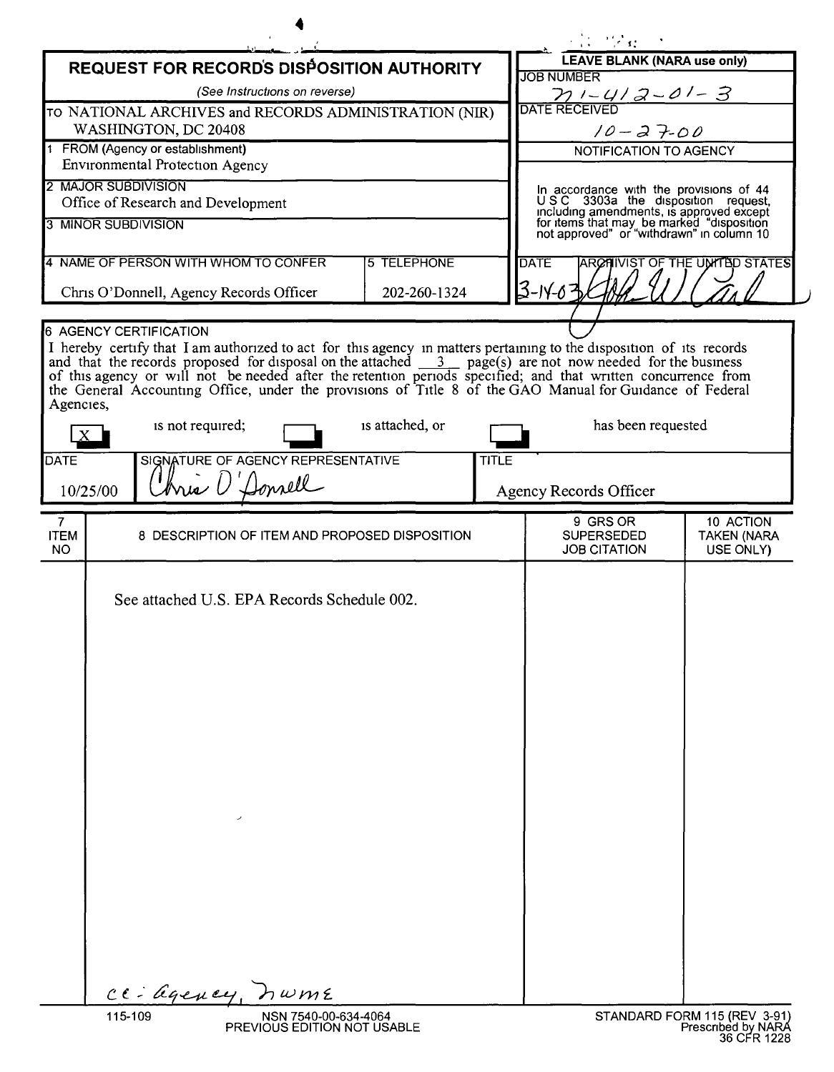| <b>LEAVE BLANK (NARA use only)</b><br><b>REQUEST FOR RECORDS DISPOSITION AUTHORITY</b><br><b>JOB NUMBER</b><br>(See Instructions on reverse)<br>$\frac{\gamma_1}{\text{DATE RECEIVED}}$<br>TO NATIONAL ARCHIVES and RECORDS ADMINISTRATION (NIR)<br>WASHINGTON, DC 20408<br>$10 - 27 - 00$<br>FROM (Agency or establishment)<br>NOTIFICATION TO AGENCY<br>Environmental Protection Agency<br>2 MAJOR SUBDIVISION<br>In accordance with the provisions of 44<br>USC 3303a the disposition request,<br>Office of Research and Development<br>including amendments, is approved except<br>for items that may be marked "disposition<br>not approved" or "withdrawn" in column 10<br>3 MINOR SUBDIVISION<br>4 NAME OF PERSON WITH WHOM TO CONFER<br>5 TELEPHONE<br><b>DATE</b><br>ARCHIVIST OF THE UNITED STATES<br>$3 - 14 - 6 =$<br>Chris O'Donnell, Agency Records Officer<br>202-260-1324<br><b>6 AGENCY CERTIFICATION</b><br>I hereby certify that I am authorized to act for this agency in matters pertaining to the disposition of its records<br>and that the records proposed for disposal on the attached $\underline{3}$ page(s) are not now needed for the b<br>of this agency or will not be needed after the retention periods specified; and that written concurrence from<br>the General Accounting Office, under the provisions of Title 8 of the GAO Manual for Guidance of Federal<br>Agencies,<br>is not required;<br>is attached, or<br>has been requested<br>SIGNATURE OF AGENCY REPRESENTATIVE<br><b>TITLE</b><br>Chris D'Donrell<br>10/25/00<br>Agency Records Officer<br>9 GRS OR<br>10 ACTION<br>$\mathbf{7}$<br>8 DESCRIPTION OF ITEM AND PROPOSED DISPOSITION<br><b>SUPERSEDED</b><br>NO.<br><b>JOB CITATION</b><br>USE ONLY)<br>See attached U.S. EPA Records Schedule 002.<br>CE- agency, nume<br>115-109<br>STANDARD FORM 115 (REV 3-91)<br>NSN 7540-00-634-4064<br>PREVIOUS EDITION NOT USABLE |             |  |  |  |  | $\mathcal{L} = \{ \mathcal{L} \}$ |                                   |
|-----------------------------------------------------------------------------------------------------------------------------------------------------------------------------------------------------------------------------------------------------------------------------------------------------------------------------------------------------------------------------------------------------------------------------------------------------------------------------------------------------------------------------------------------------------------------------------------------------------------------------------------------------------------------------------------------------------------------------------------------------------------------------------------------------------------------------------------------------------------------------------------------------------------------------------------------------------------------------------------------------------------------------------------------------------------------------------------------------------------------------------------------------------------------------------------------------------------------------------------------------------------------------------------------------------------------------------------------------------------------------------------------------------------------------------------------------------------------------------------------------------------------------------------------------------------------------------------------------------------------------------------------------------------------------------------------------------------------------------------------------------------------------------------------------------------------------------------------------------------------------------------------------------------------------|-------------|--|--|--|--|-----------------------------------|-----------------------------------|
|                                                                                                                                                                                                                                                                                                                                                                                                                                                                                                                                                                                                                                                                                                                                                                                                                                                                                                                                                                                                                                                                                                                                                                                                                                                                                                                                                                                                                                                                                                                                                                                                                                                                                                                                                                                                                                                                                                                             |             |  |  |  |  |                                   |                                   |
|                                                                                                                                                                                                                                                                                                                                                                                                                                                                                                                                                                                                                                                                                                                                                                                                                                                                                                                                                                                                                                                                                                                                                                                                                                                                                                                                                                                                                                                                                                                                                                                                                                                                                                                                                                                                                                                                                                                             |             |  |  |  |  |                                   |                                   |
|                                                                                                                                                                                                                                                                                                                                                                                                                                                                                                                                                                                                                                                                                                                                                                                                                                                                                                                                                                                                                                                                                                                                                                                                                                                                                                                                                                                                                                                                                                                                                                                                                                                                                                                                                                                                                                                                                                                             |             |  |  |  |  |                                   |                                   |
|                                                                                                                                                                                                                                                                                                                                                                                                                                                                                                                                                                                                                                                                                                                                                                                                                                                                                                                                                                                                                                                                                                                                                                                                                                                                                                                                                                                                                                                                                                                                                                                                                                                                                                                                                                                                                                                                                                                             |             |  |  |  |  |                                   |                                   |
|                                                                                                                                                                                                                                                                                                                                                                                                                                                                                                                                                                                                                                                                                                                                                                                                                                                                                                                                                                                                                                                                                                                                                                                                                                                                                                                                                                                                                                                                                                                                                                                                                                                                                                                                                                                                                                                                                                                             |             |  |  |  |  |                                   |                                   |
|                                                                                                                                                                                                                                                                                                                                                                                                                                                                                                                                                                                                                                                                                                                                                                                                                                                                                                                                                                                                                                                                                                                                                                                                                                                                                                                                                                                                                                                                                                                                                                                                                                                                                                                                                                                                                                                                                                                             |             |  |  |  |  |                                   |                                   |
|                                                                                                                                                                                                                                                                                                                                                                                                                                                                                                                                                                                                                                                                                                                                                                                                                                                                                                                                                                                                                                                                                                                                                                                                                                                                                                                                                                                                                                                                                                                                                                                                                                                                                                                                                                                                                                                                                                                             |             |  |  |  |  |                                   |                                   |
|                                                                                                                                                                                                                                                                                                                                                                                                                                                                                                                                                                                                                                                                                                                                                                                                                                                                                                                                                                                                                                                                                                                                                                                                                                                                                                                                                                                                                                                                                                                                                                                                                                                                                                                                                                                                                                                                                                                             |             |  |  |  |  |                                   |                                   |
|                                                                                                                                                                                                                                                                                                                                                                                                                                                                                                                                                                                                                                                                                                                                                                                                                                                                                                                                                                                                                                                                                                                                                                                                                                                                                                                                                                                                                                                                                                                                                                                                                                                                                                                                                                                                                                                                                                                             |             |  |  |  |  |                                   |                                   |
|                                                                                                                                                                                                                                                                                                                                                                                                                                                                                                                                                                                                                                                                                                                                                                                                                                                                                                                                                                                                                                                                                                                                                                                                                                                                                                                                                                                                                                                                                                                                                                                                                                                                                                                                                                                                                                                                                                                             |             |  |  |  |  |                                   |                                   |
|                                                                                                                                                                                                                                                                                                                                                                                                                                                                                                                                                                                                                                                                                                                                                                                                                                                                                                                                                                                                                                                                                                                                                                                                                                                                                                                                                                                                                                                                                                                                                                                                                                                                                                                                                                                                                                                                                                                             |             |  |  |  |  |                                   |                                   |
|                                                                                                                                                                                                                                                                                                                                                                                                                                                                                                                                                                                                                                                                                                                                                                                                                                                                                                                                                                                                                                                                                                                                                                                                                                                                                                                                                                                                                                                                                                                                                                                                                                                                                                                                                                                                                                                                                                                             |             |  |  |  |  |                                   |                                   |
|                                                                                                                                                                                                                                                                                                                                                                                                                                                                                                                                                                                                                                                                                                                                                                                                                                                                                                                                                                                                                                                                                                                                                                                                                                                                                                                                                                                                                                                                                                                                                                                                                                                                                                                                                                                                                                                                                                                             |             |  |  |  |  |                                   |                                   |
|                                                                                                                                                                                                                                                                                                                                                                                                                                                                                                                                                                                                                                                                                                                                                                                                                                                                                                                                                                                                                                                                                                                                                                                                                                                                                                                                                                                                                                                                                                                                                                                                                                                                                                                                                                                                                                                                                                                             |             |  |  |  |  |                                   |                                   |
|                                                                                                                                                                                                                                                                                                                                                                                                                                                                                                                                                                                                                                                                                                                                                                                                                                                                                                                                                                                                                                                                                                                                                                                                                                                                                                                                                                                                                                                                                                                                                                                                                                                                                                                                                                                                                                                                                                                             | <b>DATE</b> |  |  |  |  |                                   |                                   |
|                                                                                                                                                                                                                                                                                                                                                                                                                                                                                                                                                                                                                                                                                                                                                                                                                                                                                                                                                                                                                                                                                                                                                                                                                                                                                                                                                                                                                                                                                                                                                                                                                                                                                                                                                                                                                                                                                                                             |             |  |  |  |  |                                   |                                   |
|                                                                                                                                                                                                                                                                                                                                                                                                                                                                                                                                                                                                                                                                                                                                                                                                                                                                                                                                                                                                                                                                                                                                                                                                                                                                                                                                                                                                                                                                                                                                                                                                                                                                                                                                                                                                                                                                                                                             |             |  |  |  |  |                                   |                                   |
|                                                                                                                                                                                                                                                                                                                                                                                                                                                                                                                                                                                                                                                                                                                                                                                                                                                                                                                                                                                                                                                                                                                                                                                                                                                                                                                                                                                                                                                                                                                                                                                                                                                                                                                                                                                                                                                                                                                             | <b>ITEM</b> |  |  |  |  |                                   | <b>TAKEN (NARA</b>                |
|                                                                                                                                                                                                                                                                                                                                                                                                                                                                                                                                                                                                                                                                                                                                                                                                                                                                                                                                                                                                                                                                                                                                                                                                                                                                                                                                                                                                                                                                                                                                                                                                                                                                                                                                                                                                                                                                                                                             |             |  |  |  |  |                                   |                                   |
|                                                                                                                                                                                                                                                                                                                                                                                                                                                                                                                                                                                                                                                                                                                                                                                                                                                                                                                                                                                                                                                                                                                                                                                                                                                                                                                                                                                                                                                                                                                                                                                                                                                                                                                                                                                                                                                                                                                             |             |  |  |  |  |                                   | Prescribed by NARA<br>36 CFR 1228 |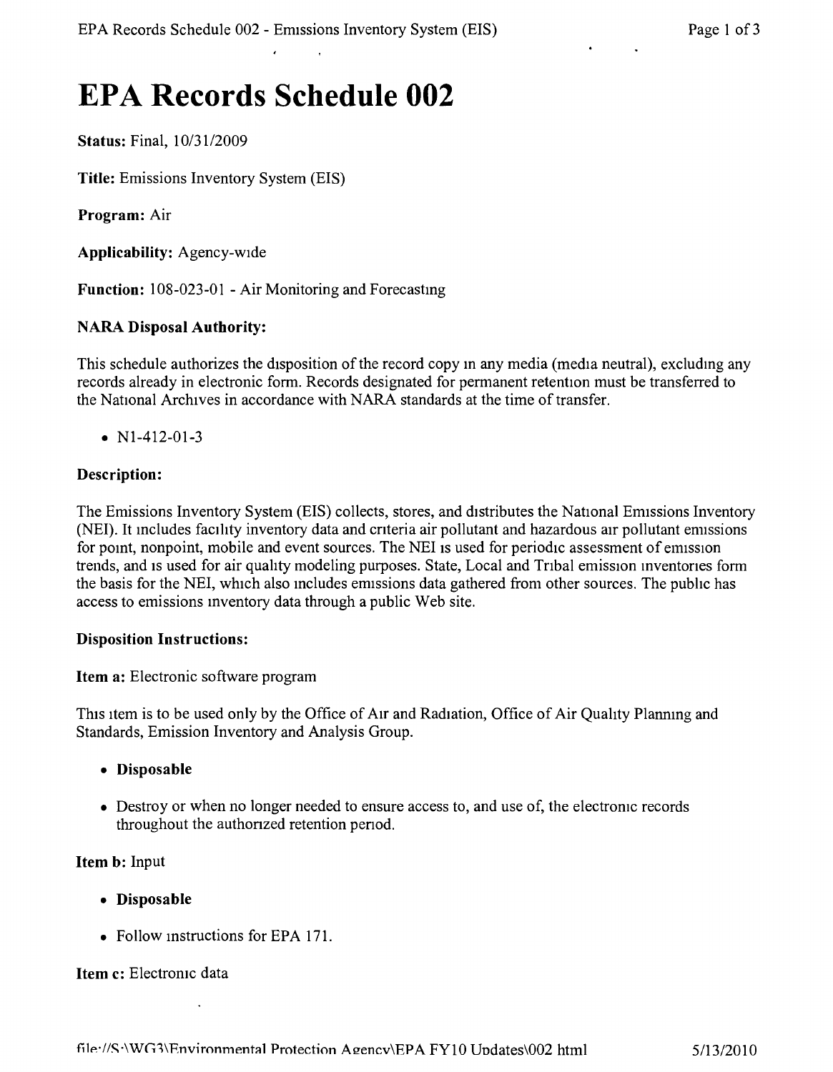# **EPA Records Schedule 002**

**Status:** Final, *10/3112009*

**Title:** Emissions Inventory System (EIS)

**Program:** Air

**Applicability:** Agency-wide

**Function:** 108-023-01 - Air Monitoring and Forecastmg

## **NARA Disposal Authority:**

This schedule authorizes the disposition of the record copy m any media (media neutral), excludmg any records already in electronic form. Records designated for permanent retention must be transferred to the National Archives in accordance with NARA standards at the time of transfer.

•  $N1-412-01-3$ 

## **Description:**

The Emissions Inventory System (EIS) collects, stores, and distributes the National Emissions Inventory (NEI). It mcludes facility inventory data and cnteria air pollutant and hazardous air pollutant ermssions for point, nonpoint, mobile and event sources. The NEI is used for periodic assessment of emission trends, and is used for air quality modeling purposes. State, Local and Tribal emission inventories form the basis for the NEI, which also includes emissions data gathered from other sources. The public has access to emissions Inventory data through a public Web site.

#### **Disposition Instructions:**

**Item a:** Electronic software program

This item is to be used only by the Office of Air and Radiation, Office of Air Quality Planning and Standards, Emission Inventory and Analysis Group.

- **• Disposable**
- Destroy or when no longer needed to ensure access to, and use of, the electronic records throughout the authonzed retention penod.

**Item b:** Input

- **• Disposable**
- Follow instructions for EPA 171.

#### **Item c:** Electromc data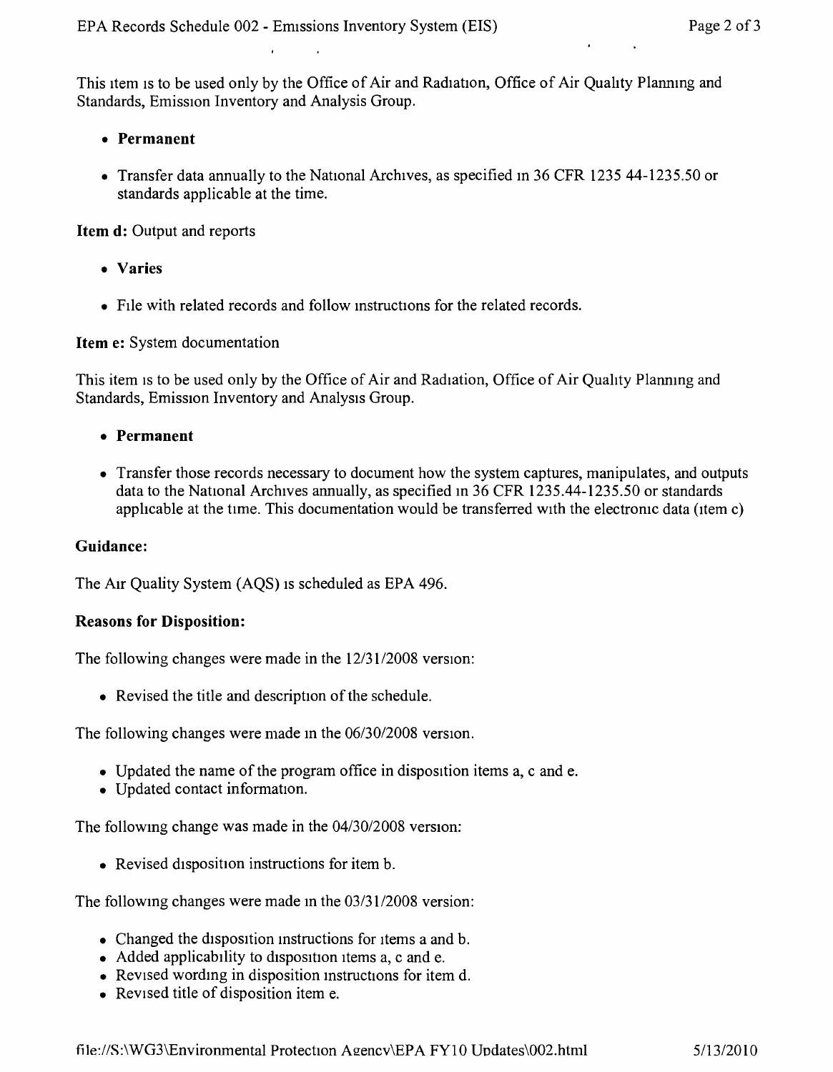This item is to be used only by the Office of Air and Radiation, Office of Air Quality Planning and Standards, Emission Inventory and Analysis Group.

- **• Permanent**
- Transfer data annually to the National Archives, as specified in 36 CFR 1235 44-1235.50 or standards applicable at the time.

**Item d:** Output and reports

- **• Varies**
- FIle with related records and follow mstructions for the related records.

#### **Item e:** System documentation

This item is to be used only by the Office of Air and Radiation, Office of Air Quality Planning and Standards, Emission Inventory and Analysis Group.

- **• Permanent**
- Transfer those records necessary to document how the system captures, manipulates, and outputs data to the National Archives annually, as specified in 36 CFR 1235.44-1235.50 or standards applicable at the time. This documentation would be transferred with the electronic data (item c)

## **Guidance:**

The AIr Quality System (AQS) IS scheduled as EPA 496.

#### **Reasons for Disposition:**

The following changes were made in the *12/3112008* version:

• Revised the title and description of the schedule.

The following changes were made m the *06/30/2008* version,

- Updated the name of the program office in disposition items a, c and e.
- Updated contact information.

The following change was made in the  $04/30/2008$  version:

• Revised disposition instructions for item b.

The followmg changes were made in the *03/3112008* version:

- Changed the disposition instructions for items a and b.
- Added applicability to disposition items a, c and e.
- Revised wording in disposition instructions for item d.
- Revised title of disposition item e.